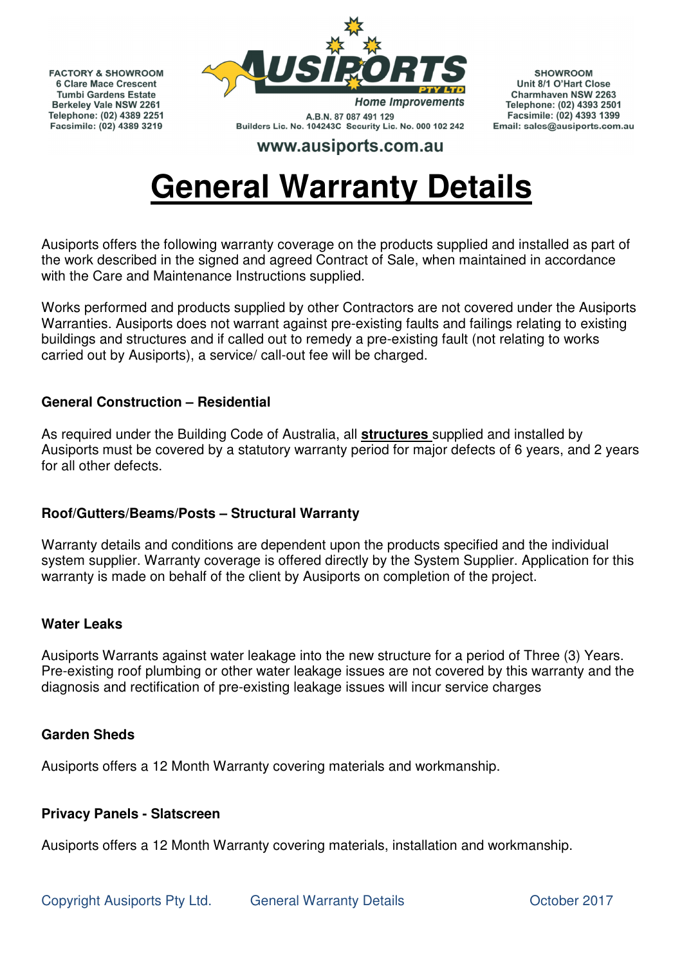**FACTORY & SHOWROOM 6 Clare Mace Crescent Tumbi Gardens Estate Berkeley Vale NSW 2261** Telephone: (02) 4389 2251 Facsimile: (02) 4389 3219



A.B.N. 87 087 491 129 Builders Lic. No. 104243C Security Lic. No. 000 102 242

**SHOWROOM** Unit 8/1 O'Hart Close Charmhaven NSW 2263 Telephone: (02) 4393 2501 Facsimile: (02) 4393 1399 Email: sales@ausiports.com.au

# www.ausiports.com.au

# **General Warranty Details**

Ausiports offers the following warranty coverage on the products supplied and installed as part of the work described in the signed and agreed Contract of Sale, when maintained in accordance with the Care and Maintenance Instructions supplied.

Works performed and products supplied by other Contractors are not covered under the Ausiports Warranties. Ausiports does not warrant against pre-existing faults and failings relating to existing buildings and structures and if called out to remedy a pre-existing fault (not relating to works carried out by Ausiports), a service/ call-out fee will be charged.

## **General Construction – Residential**

As required under the Building Code of Australia, all **structures** supplied and installed by Ausiports must be covered by a statutory warranty period for major defects of 6 years, and 2 years for all other defects.

## **Roof/Gutters/Beams/Posts – Structural Warranty**

Warranty details and conditions are dependent upon the products specified and the individual system supplier. Warranty coverage is offered directly by the System Supplier. Application for this warranty is made on behalf of the client by Ausiports on completion of the project.

## **Water Leaks**

Ausiports Warrants against water leakage into the new structure for a period of Three (3) Years. Pre-existing roof plumbing or other water leakage issues are not covered by this warranty and the diagnosis and rectification of pre-existing leakage issues will incur service charges

## **Garden Sheds**

Ausiports offers a 12 Month Warranty covering materials and workmanship.

## **Privacy Panels - Slatscreen**

Ausiports offers a 12 Month Warranty covering materials, installation and workmanship.